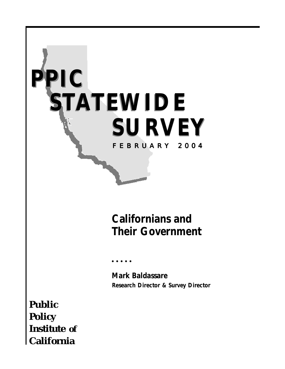

# *Californians and Their Government*

○○○○○

*Mark Baldassare Research Director & Survey Director*

*Public Policy Institute of California*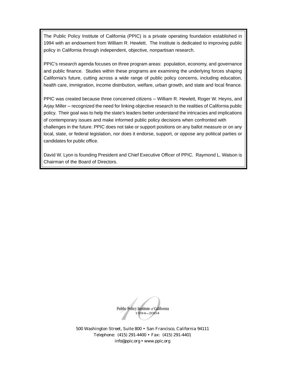The Public Policy Institute of California (PPIC) is a private operating foundation established in 1994 with an endowment from William R. Hewlett. The Institute is dedicated to improving public policy in California through independent, objective, nonpartisan research.

PPIC's research agenda focuses on three program areas: population, economy, and governance and public finance. Studies within these programs are examining the underlying forces shaping California's future, cutting across a wide range of public policy concerns, including education, health care, immigration, income distribution, welfare, urban growth, and state and local finance.

PPIC was created because three concerned citizens – William R. Hewlett, Roger W. Heyns, and Arjay Miller – recognized the need for linking objective research to the realities of California public policy. Their goal was to help the state's leaders better understand the intricacies and implications of contemporary issues and make informed public policy decisions when confronted with challenges in the future. PPIC does not take or support positions on any ballot measure or on any local, state, or federal legislation, nor does it endorse, support, or oppose any political parties or candidates for public office.

David W. Lyon is founding President and Chief Executive Officer of PPIC. Raymond L. Watson is Chairman of the Board of Directors.

Public Policy Institute of California  $1994 - 2004$ 

500 Washington Street, Suite 800 • San Francisco, California 94111 Telephone: (415) 291-4400 • Fax: (415) 291-4401 info@ppic.org • www.ppic.org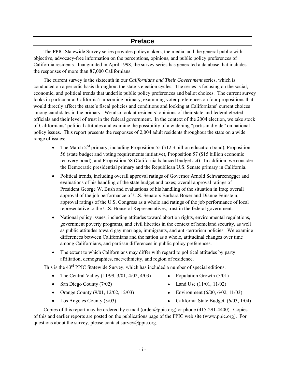### **Preface**

The PPIC Statewide Survey series provides policymakers, the media, and the general public with objective, advocacy-free information on the perceptions, opinions, and public policy preferences of California residents. Inaugurated in April 1998, the survey series has generated a database that includes the responses of more than 87,000 Californians.

The current survey is the sixteenth in our *Californians and Their Government* series, which is conducted on a periodic basis throughout the state's election cycles. The series is focusing on the social, economic, and political trends that underlie public policy preferences and ballot choices. The current survey looks in particular at California's upcoming primary, examining voter preferences on four propositions that would directly affect the state's fiscal policies and conditions and looking at Californians' current choices among candidates in the primary. We also look at residents' opinions of their state and federal elected officials and their level of trust in the federal government. In the context of the 2004 election, we take stock of Californians' political attitudes and examine the possibility of a widening "partisan divide" on national policy issues. This report presents the responses of 2,004 adult residents throughout the state on a wide range of issues:

- The March  $2<sup>nd</sup>$  primary, including Proposition 55 (\$12.3 billion education bond), Proposition 56 (state budget and voting requirements initiative), Proposition 57 (\$15 billion economic recovery bond), and Proposition 58 (California balanced budget act). In addition, we consider the Democratic presidential primary and the Republican U.S. Senate primary in California.
- Political trends, including overall approval ratings of Governor Arnold Schwarzenegger and evaluations of his handling of the state budget and taxes; overall approval ratings of President George W. Bush and evaluations of his handling of the situation in Iraq; overall approval of the job performance of U.S. Senators Barbara Boxer and Dianne Feinstein; approval ratings of the U.S. Congress as a whole and ratings of the job performance of local representative to the U.S. House of Representatives; trust in the federal government.
- National policy issues, including attitudes toward abortion rights, environmental regulations, government poverty programs, and civil liberties in the context of homeland security, as well as public attitudes toward gay marriage, immigrants, and anti-terrorism policies. We examine differences between Californians and the nation as a whole, attitudinal changes over time among Californians, and partisan differences in public policy preferences.
- The extent to which Californians may differ with regard to political attitudes by party affiliation, demographics, race/ethnicity, and region of residence.

This is the 43<sup>rd</sup> PPIC Statewide Survey, which has included a number of special editions:

- The Central Valley  $(11/99, 3/01, 4/02, 4/03)$  Population Growth  $(5/01)$
- San Diego County  $(7/02)$  Land Use  $(11/01, 11/02)$
- Orange County  $(9/01, 12/02, 12/03)$  Environment  $(6/00, 6/02, 11/03)$
- 
- 
- 
- 
- Los Angeles County (3/03) California State Budget (6/03, 1/04)

Copies of this report may be ordered by e-mail ( $\text{order}(Qppic.org)$  or phone (415-291-4400). Copies of this and earlier reports are posted on the publications page of the PPIC web site (www.ppic.org). For questions about the survey, please contact [survey@ppic.org](mailto:survey@ppic.org).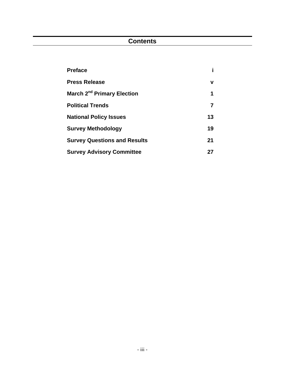## **Contents**

| <b>Preface</b>                         |    |
|----------------------------------------|----|
| <b>Press Release</b>                   | v  |
| March 2 <sup>nd</sup> Primary Election | 1  |
| <b>Political Trends</b>                | 7  |
| <b>National Policy Issues</b>          | 13 |
| <b>Survey Methodology</b>              | 19 |
| <b>Survey Questions and Results</b>    | 21 |
| <b>Survey Advisory Committee</b>       | 27 |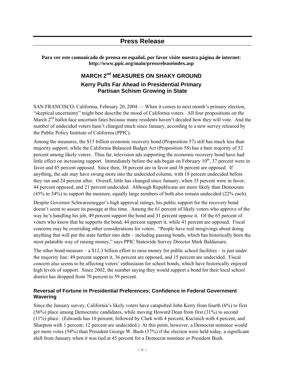### **Press Release**

**Para ver este comunicado de prensa en español, por favor visite nuestra página de internet: http://www.ppic.org/main/pressreleaseindex.asp** 

### **MARCH 2<sup>nd</sup> MEASURES ON SHAKY GROUND Kerry Pulls Far Ahead in Presidential Primary Partisan Schism Growing in State**

SAN FRANCISCO, California, February 20, 2004 — When it comes to next month's primary election, "skeptical uncertainty" might best describe the mood of California voters. All four propositions on the March  $2<sup>nd</sup>$  ballot face uncertain fates because many residents haven't decided how they will vote. And the number of undecided voters hasn't changed much since January, according to a new survey released by the Public Policy Institute of California (PPIC).

Among the measures, the \$15 billion economic recovery bond (Proposition 57) still has much less than majority support, while the California Balanced Budget Act (Proposition 58) has a bare majority of 52 percent among likely voters. Thus far, television ads supporting the economic recovery bond have had little effect on increasing support. Immediately before the ads began on February  $10^{th}$ , 37 percent were in favor and 45 percent opposed. Since then, 38 percent are in favor and 38 percent are opposed. If anything, the ads may have swung more into the undecided column, with 18 percent undecided before they ran and 24 percent after. Overall, little has changed since January, when 35 percent were in favor, 44 percent opposed, and 21 percent undecided. Although Republicans are more likely than Democrats (45% to 34%) to support the measure, equally large numbers of both also remain undecided (22% each).

Despite Governor Schwarzenegger's high approval ratings, his public support for the recovery bond doesn't seem to assure its passage at this time. Among the 61 percent of likely voters who approve of the way he's handling his job, 49 percent support the bond and 31 percent oppose it. Of the 65 percent of voters who know that he supports the bond, 44 percent support it, while 41 percent are opposed. Fiscal concerns may be overriding other considerations for voters. "People have real misgivings about doing anything that will put the state further into debt – including passing bonds, which has historically been the most palatable way of raising money," says PPIC Statewide Survey Director Mark Baldassare.

The other bond measure – a \$12.3 billion effort to raise money for public school facilities – is just under the majority line: 49 percent support it, 36 percent are opposed, and 15 percent are undecided. Fiscal concern also seems to be affecting voters' enthusiasm for school bonds, which have historically enjoyed high levels of support. Since 2002, the number saying they would support a bond for their local school district has dropped from 70 percent to 59 percent.

### **Reversal of Fortune in Presidential Preferences; Confidence in Federal Government Wavering**

Since the January survey, California's likely voters have catapulted John Kerry from fourth (6%) to first (56%) place among Democratic candidates, while moving Howard Dean from first (31%) to second (11%) place. (Edwards has 10 percent, followed by Clark with 4 percent, Kucinich with 4 percent, and Sharpton with 1 percent; 12 percent are undecided.) At this point, however, a Democrat nominee would get more votes (54%) than President George W. Bush (37%) if the election were held today, a significant shift from January when it was tied at 45 percent for a Democrat nominee or President Bush.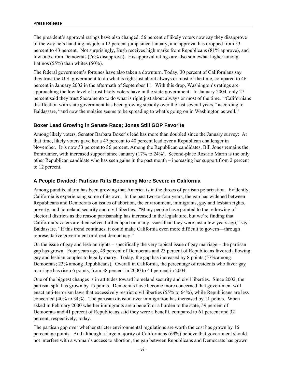The president's approval ratings have also changed: 56 percent of likely voters now say they disapprove of the way he's handling his job, a 12 percent jump since January, and approval has dropped from 53 percent to 43 percent. Not surprisingly, Bush receives high marks from Republicans (81% approve), and low ones from Democrats (76% disapprove). His approval ratings are also somewhat higher among Latinos  $(55\%)$  than whites  $(50\%)$ .

The federal government's fortunes have also taken a downturn. Today, 30 percent of Californians say they trust the U.S. government to do what is right just about always or most of the time, compared to 46 percent in January 2002 in the aftermath of September 11. With this drop, Washington's ratings are approaching the low level of trust likely voters have in the state government: In January 2004, only 27 percent said they trust Sacramento to do what is right just about always or most of the time. "Californians disaffection with state government has been growing steadily over the last several years," according to Baldassare, "and now the malaise seems to be spreading to what's going on in Washington as well."

#### **Boxer Lead Growing in Senate Race; Jones Still GOP Favorite**

Among likely voters, Senator Barbara Boxer's lead has more than doubled since the January survey: At that time, likely voters gave her a 47 percent to 40 percent lead over a Republican challenger in November. It is now 53 percent to 36 percent. Among the Republican candidates, Bill Jones remains the frontrunner, with increased support since January (17% to 24%). Second-place Rosario Marin is the only other Republican candidate who has seen gains in the past month – increasing her support from 2 percent to 12 percent.

#### **A People Divided: Partisan Rifts Becoming More Severe in California**

Among pundits, alarm has been growing that America is in the throes of partisan polarization. Evidently, California is experiencing some of its own. In the past two-to-four years, the gap has widened between Republicans and Democrats on issues of abortion, the environment, immigrants, gay and lesbian rights, poverty, and homeland security and civil liberties. "Many people have pointed to the redrawing of electoral districts as the reason partisanship has increased in the legislature, but we're finding that California's voters are themselves further apart on many issues than they were just a few years ago," says Baldassare. "If this trend continues, it could make California even more difficult to govern—through representative government or direct democracy."

On the issue of gay and lesbian rights – specifically the very topical issue of gay marriage – the partisan gap has grown. Four years ago, 49 percent of Democrats and 23 percent of Republicans favored allowing gay and lesbian couples to legally marry. Today, the gap has increased by 8 points (57% among Democrats; 23% among Republicans). Overall in California, the percentage of residents who favor gay marriage has risen 6 points, from 38 percent in 2000 to 44 percent in 2004.

One of the biggest changes is in attitudes toward homeland security and civil liberties. Since 2002, the partisan split has grown by 15 points. Democrats have become more concerned that government will enact anti-terrorism laws that excessively restrict civil liberties (55% to 64%), while Republicans are less concerned (40% to 34%). The partisan division over immigration has increased by 11 points. When asked in February 2000 whether immigrants are a benefit or a burden to the state, 59 percent of Democrats and 41 percent of Republicans said they were a benefit, compared to 61 percent and 32 percent, respectively, today.

The partisan gap over whether stricter environmental regulations are worth the cost has grown by 16 percentage points. And although a large majority of Californians (69%) believe that government should not interfere with a woman's access to abortion, the gap between Republicans and Democrats has grown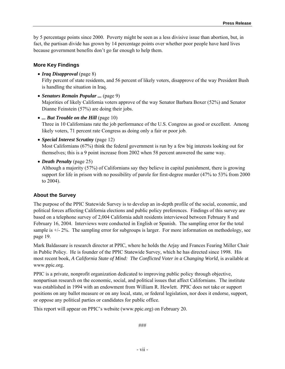by 5 percentage points since 2000. Poverty might be seen as a less divisive issue than abortion, but, in fact, the partisan divide has grown by 14 percentage points over whether poor people have hard lives because government benefits don't go far enough to help them.

#### **More Key Findings**

• *Iraq Disapproval* (page 8)

Fifty percent of state residents, and 56 percent of likely voters, disapprove of the way President Bush is handling the situation in Iraq.

• *Senators Remain Popular ...* (page 9)

Majorities of likely California voters approve of the way Senator Barbara Boxer (52%) and Senator Dianne Feinstein (57%) are doing their jobs.

• *... But Trouble on the Hill* (page 10)

Three in 10 Californians rate the job performance of the U.S. Congress as good or excellent. Among likely voters, 71 percent rate Congress as doing only a fair or poor job.

• *Special Interest Scrutiny* (page 12)

Most Californians (67%) think the federal government is run by a few big interests looking out for themselves; this is a 9 point increase from 2002 when 58 percent answered the same way.

• *Death Penalty* (page 25)

Although a majority (57%) of Californians say they believe in capital punishment, there is growing support for life in prison with no possibility of parole for first-degree murder (47% to 53% from 2000 to 2004).

#### **About the Survey**

The purpose of the PPIC Statewide Survey is to develop an in-depth profile of the social, economic, and political forces affecting California elections and public policy preferences. Findings of this survey are based on a telephone survey of 2,004 California adult residents interviewed between February 8 and February 16, 2004. Interviews were conducted in English or Spanish. The sampling error for the total sample is +/- 2%. The sampling error for subgroups is larger. For more information on methodology, see page 19.

Mark Baldassare is research director at PPIC, where he holds the Arjay and Frances Fearing Miller Chair in Public Policy. He is founder of the PPIC Statewide Survey, which he has directed since 1998. His most recent book, *A California State of Mind: The Conflicted Voter in a Changing World*, is available at www.ppic.org.

PPIC is a private, nonprofit organization dedicated to improving public policy through objective, nonpartisan research on the economic, social, and political issues that affect Californians. The institute was established in 1994 with an endowment from William R. Hewlett. PPIC does not take or support positions on any ballot measure or on any local, state, or federal legislation, nor does it endorse, support, or oppose any political parties or candidates for public office.

This report will appear on PPIC's website (www.ppic.org) on February 20.

###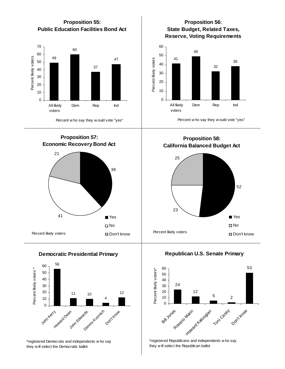

\*registered Democrats and independents w ho say they w ill select the Democratic ballot

John Edwards Kucinich

Rosario Marin Adoogian Toni Casey Don't Know

\*registered Republicans and independents w ho say they w ill select the Republican ballot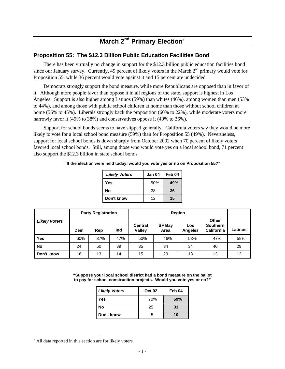# **March 2nd Primary Election**[¥](#page-10-0)

### **Proposition 55: The \$12.3 Billion Public Education Facilities Bond**

There has been virtually no change in support for the \$12.3 billion public education facilities bond since our January survey. Currently, 49 percent of likely voters in the March  $2<sup>nd</sup>$  primary would vote for Proposition 55, while 36 percent would vote against it and 15 percent are undecided.

Democrats strongly support the bond measure, while more Republicans are opposed than in favor of it. Although more people favor than oppose it in all regions of the state, support is highest in Los Angeles. Support is also higher among Latinos (59%) than whites (46%), among women than men (53% to 44%), and among those with public school children at home than those without school children at home (56% to 45%). Liberals strongly back the proposition (60% to 22%), while moderate voters more narrowly favor it (49% to 38%) and conservatives oppose it (49% to 36%).

Support for school bonds seems to have slipped generally. California voters say they would be more likely to vote for a local school bond measure (59%) than for Proposition 55 (49%). Nevertheless, support for local school bonds is down sharply from October 2002 when 70 percent of likely voters favored local school bonds. Still, among those who would vote yes on a local school bond, 71 percent also support the \$12.3 billion in state school bonds.

**"If the election were held today, would you vote yes or no on Proposition 55?"** 

| <b>Likely Voters</b> | Jan 04 | Feb 04 |
|----------------------|--------|--------|
| Yes                  | 50%    | 49%    |
| No                   | 38     | 36     |
| Don't know           | 12     | 15     |

|                      |     | <b>Party Registration</b> |     |                                 |                       |                       |                                               |         |
|----------------------|-----|---------------------------|-----|---------------------------------|-----------------------|-----------------------|-----------------------------------------------|---------|
| <b>Likely Voters</b> | Dem | Rep                       | Ind | <b>Central</b><br><b>Valley</b> | <b>SF Bay</b><br>Area | Los<br><b>Angeles</b> | <b>Other</b><br>Southern<br><b>California</b> | Latinos |
| <b>Yes</b>           | 60% | 37%                       | 47% | 50%                             | 46%                   | 53%                   | 47%                                           | 59%     |
| No                   | 24  | 50                        | 39  | 35                              | 34                    | 34                    | 40                                            | 29      |
| Don't know           | 16  | 13                        | 14  | 15                              | 20                    | 13                    | 13                                            | 12      |

**"Suppose your local school district had a bond measure on the ballot to pay for school construction projects. Would you vote yes or no?"**

| <b>Likely Voters</b> | <b>Oct 02</b> | Feb 04 |
|----------------------|---------------|--------|
| Yes                  | 70%           | 59%    |
| No                   | 25            | 31     |
| Don't know           | 5             | 10     |

l

<span id="page-10-0"></span><sup>¥</sup> All data reported in this section are for likely voters.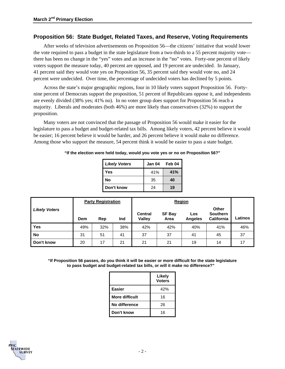### **Proposition 56: State Budget, Related Taxes, and Reserve, Voting Requirements**

After weeks of television advertisements on Proposition 56—the citizens' initiative that would lower the vote required to pass a budget in the state legislature from a two-thirds to a 55 percent majority vote there has been no change in the "yes" votes and an increase in the "no" votes. Forty-one percent of likely voters support the measure today, 40 percent are opposed, and 19 percent are undecided. In January, 41 percent said they would vote yes on Proposition 56, 35 percent said they would vote no, and 24 percent were undecided. Over time, the percentage of undecided voters has declined by 5 points.

Across the state's major geographic regions, four in 10 likely voters support Proposition 56. Fortynine percent of Democrats support the proposition, 51 percent of Republicans oppose it, and independents are evenly divided (38% yes; 41% no). In no voter group does support for Proposition 56 reach a majority. Liberals and moderates (both 46%) are more likely than conservatives (32%) to support the proposition.

Many voters are not convinced that the passage of Proposition 56 would make it easier for the legislature to pass a budget and budget-related tax bills. Among likely voters, 42 percent believe it would be easier; 16 percent believe it would be harder, and 26 percent believe it would make no difference. Among those who support the measure, 54 percent think it would be easier to pass a state budget.

**"If the election were held today, would you vote yes or no on Proposition 56?"** 

| <b>Likely Voters</b> | Jan 04 | Feb 04 |
|----------------------|--------|--------|
| Yes                  | 41%    | 41%    |
| No                   | 35     | 40     |
| Don't know           | 24     | 19     |

|                      |     | <b>Party Registration</b> |     |                                 |                       |                       |                                                      |         |
|----------------------|-----|---------------------------|-----|---------------------------------|-----------------------|-----------------------|------------------------------------------------------|---------|
| <b>Likely Voters</b> | Dem | Rep                       | Ind | <b>Central</b><br><b>Valley</b> | <b>SF Bay</b><br>Area | Los<br><b>Angeles</b> | <b>Other</b><br><b>Southern</b><br><b>California</b> | Latinos |
| <b>Yes</b>           | 49% | 32%                       | 38% | 42%                             | 42%                   | 40%                   | 41%                                                  | 46%     |
| No                   | 31  | 51                        | 41  | 37                              | 37                    | 41                    | 45                                                   | 37      |
| Don't know           | 20  | 17                        | 21  | 21                              | 21                    | 19                    | 14                                                   | 17      |

**"If Proposition 56 passes, do you think it will be easier or more difficult for the state legislature to pass budget and budget-related tax bills, or will it make no difference?"**

|                | Likely<br><b>Voters</b> |
|----------------|-------------------------|
| <b>Easier</b>  | 42%                     |
| More difficult | 16                      |
| No difference  | 26                      |
| Don't know     | 16                      |

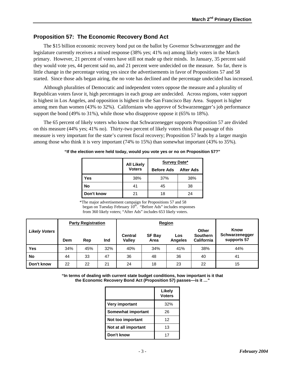### **Proposition 57: The Economic Recovery Bond Act**

The \$15 billion economic recovery bond put on the ballot by Governor Schwarzenegger and the legislature currently receives a mixed response (38% yes; 41% no) among likely voters in the March primary. However, 21 percent of voters have still not made up their minds. In January, 35 percent said they would vote yes, 44 percent said no, and 21 percent were undecided on the measure. So far, there is little change in the percentage voting yes since the advertisements in favor of Propositions 57 and 58 started. Since those ads began airing, the no vote has declined and the percentage undecided has increased.

Although pluralities of Democratic and independent voters oppose the measure and a plurality of Republican voters favor it, high percentages in each group are undecided. Across regions, voter support is highest in Los Angeles, and opposition is highest in the San Francisco Bay Area. Support is higher among men than women (43% to 32%). Californians who approve of Schwarzenegger's job performance support the bond (49% to 31%), while those who disapprove oppose it (65% to 18%).

The 65 percent of likely voters who know that Schwarzenegger supports Proposition 57 are divided on this measure (44% yes; 41% no). Thirty-two percent of likely voters think that passage of this measure is very important for the state's current fiscal recovery; Proposition 57 leads by a larger margin among those who think it is very important (74% to 15%) than somewhat important (43% to 35%).

|            | <b>All Likely</b> | Survey Date*      |                  |  |  |
|------------|-------------------|-------------------|------------------|--|--|
|            | <b>Voters</b>     | <b>Before Ads</b> | <b>After Ads</b> |  |  |
| Yes        | 38%               | 37%               | 38%              |  |  |
| No         | 41                | 45                | 38               |  |  |
| Don't know |                   | 18                | 24               |  |  |

**"If the election were held today, would you vote yes or no on Proposition 57?"** 

\*The major advertisement campaign for Propositions 57 and 58 began on Tuesday February 10<sup>th</sup>. "Before Ads" includes responses from 360 likely voters; "After Ads" includes 653 likely voters.

|                      |     | <b>Party Registration</b> |     |                          | <b>Region</b>         |                       |                                               |                                       |
|----------------------|-----|---------------------------|-----|--------------------------|-----------------------|-----------------------|-----------------------------------------------|---------------------------------------|
| <b>Likely Voters</b> | Dem | Rep                       | Ind | <b>Central</b><br>Valley | <b>SF Bay</b><br>Area | Los<br><b>Angeles</b> | Other<br><b>Southern</b><br><b>California</b> | Know<br>Schwarzenegger<br>supports 57 |
| <b>Yes</b>           | 34% | 45%                       | 32% | 40%                      | 34%                   | 41%                   | 38%                                           | 44%                                   |
| No                   | 44  | 33                        | 47  | 36                       | 48                    | 36                    | 40                                            | 41                                    |
| Don't know           | 22  | 22                        | 21  | 24                       | 18                    | 23                    | 22                                            | 15                                    |

**"In terms of dealing with current state budget conditions, how important is it that the Economic Recovery Bond Act (Proposition 57) passes—is it …"** 

|                       | Likely<br><b>Voters</b> |
|-----------------------|-------------------------|
| <b>Very important</b> | 32%                     |
| Somewhat important    | 26                      |
| Not too important     | 12                      |
| Not at all important  | 13                      |
| Don't know            | 17                      |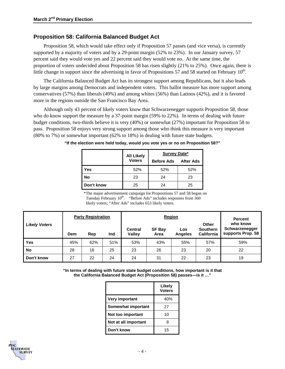### **Proposition 58: California Balanced Budget Act**

Proposition 58, which would take effect only if Proposition 57 passes (and vice versa), is currently supported by a majority of voters and by a 29-point margin (52% to 23%). In our January survey, 57 percent said they would vote yes and 22 percent said they would vote no. At the same time, the proportion of voters undecided about Proposition 58 has risen slightly (21% to 25%). Once again, there is little change in support since the advertising in favor of Propositions 57 and 58 started on February  $10<sup>th</sup>$ .

The California Balanced Budget Act has its strongest support among Republicans, but it also leads by large margins among Democrats and independent voters. This ballot measure has more support among conservatives (57%) than liberals (49%) and among whites (56%) than Latinos (42%), and it is favored more in the regions outside the San Francisco Bay Area.

Although only 43 percent of likely voters know that Schwarzenegger supports Proposition 58, those who do know support the measure by a 37-point margin (59% to 22%). In terms of dealing with future budget conditions, two-thirds believe it is very (40%) or somewhat (27%) important for Proposition 58 to pass. Proposition 58 enjoys very strong support among those who think this measure is very important (80% to 7%) or somewhat important (62% to 18%) in dealing with future state budgets.

|            | <b>All Likely</b> | Survey Date*      |                  |  |  |
|------------|-------------------|-------------------|------------------|--|--|
|            | <b>Voters</b>     | <b>Before Ads</b> | <b>After Ads</b> |  |  |
| Yes        | 52%               | 52%               | 52%              |  |  |
| No         | 23                | 24                | 23               |  |  |
| Don't know | 25                | 24                | 25               |  |  |

**"If the election were held today, would you vote yes or no on Proposition 58?"** 

\*The major advertisement campaign for Propositions 57 and 58 began on Tuesday February  $10^{th}$ . "Before Ads" includes responses from 360 likely voters; "After Ads" includes 653 likely voters.

|                      | <b>Party Registration</b> |     | <b>Percent</b> |                                 |                       |                |                                                      |                                                 |
|----------------------|---------------------------|-----|----------------|---------------------------------|-----------------------|----------------|------------------------------------------------------|-------------------------------------------------|
| <b>Likely Voters</b> | Dem                       | Rep | Ind            | <b>Central</b><br><b>Valley</b> | <b>SF Bay</b><br>Area | Los<br>Angeles | <b>Other</b><br><b>Southern</b><br><b>California</b> | who know<br>Schwarzenegger<br>supports Prop. 58 |
| Yes                  | 45%                       | 62% | 51%            | 53%                             | 43%                   | 55%            | 57%                                                  | 59%                                             |
| <b>No</b>            | 28                        | 16  | 25             | 23                              | 26                    | 23             | 20                                                   | 22                                              |
| Don't know           | 27                        | 22  | 24             | 24                              | 31                    | 22             | 23                                                   | 19                                              |

**"In terms of dealing with future state budget conditions, how important is it that the California Balanced Budget Act (Proposition 58) passes—is it …"** 

|                       | Likely<br><b>Voters</b> |
|-----------------------|-------------------------|
| <b>Very important</b> | 40%                     |
| Somewhat important    | 27                      |
| Not too important     | 10                      |
| Not at all important  | ጸ                       |
| Don't know            | 15                      |

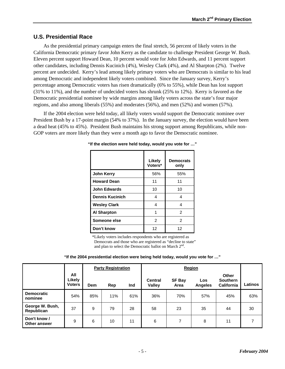### **U.S. Presidential Race**

As the presidential primary campaign enters the final stretch, 56 percent of likely voters in the California Democratic primary favor John Kerry as the candidate to challenge President George W. Bush. Eleven percent support Howard Dean, 10 percent would vote for John Edwards, and 11 percent support other candidates, including Dennis Kucinich (4%), Wesley Clark (4%), and Al Sharpton (2%). Twelve percent are undecided. Kerry's lead among likely primary voters who are Democrats is similar to his lead among Democratic and independent likely voters combined. Since the January survey, Kerry's percentage among Democratic voters has risen dramatically (6% to 55%), while Dean has lost support (31% to 11%), and the number of undecided voters has shrunk (25% to 12%). Kerry is favored as the Democratic presidential nominee by wide margins among likely voters across the state's four major regions, and also among liberals (55%) and moderates (56%), and men (52%) and women (57%).

If the 2004 election were held today, all likely voters would support the Democratic nominee over President Bush by a 17-point margin (54% to 37%). In the January survey, the election would have been a dead heat (45% to 45%). President Bush maintains his strong support among Republicans, while non-GOP voters are more likely than they were a month ago to favor the Democratic nominee.

|                        | Likely<br>Voters* | <b>Democrats</b><br>only |
|------------------------|-------------------|--------------------------|
| John Kerry             | 56%               | 55%                      |
| <b>Howard Dean</b>     | 11                | 11                       |
| <b>John Edwards</b>    | 10                | 10                       |
| <b>Dennis Kucinich</b> | 4                 | 4                        |
| <b>Wesley Clark</b>    | 4                 | 4                        |
| <b>Al Sharpton</b>     | 1                 | 2                        |
| Someone else           | 2                 | 2                        |
| Don't know             | 12                | 12                       |

#### **"If the election were held today, would you vote for …"**

\*Likely voters includes respondents who are registered as Democrats and those who are registered as "decline to state" and plan to select the Democratic ballot on March  $2<sup>nd</sup>$ .

| "If the 2004 presidential election were being held today, would you vote for " |  |  |  |
|--------------------------------------------------------------------------------|--|--|--|
|--------------------------------------------------------------------------------|--|--|--|

|                                     |                                | <b>Party Registration</b> |     |     | Region                   |                       |                       |                                                      |         |
|-------------------------------------|--------------------------------|---------------------------|-----|-----|--------------------------|-----------------------|-----------------------|------------------------------------------------------|---------|
|                                     | All<br>Likely<br><b>Voters</b> | <b>Dem</b>                | Rep | Ind | <b>Central</b><br>Valley | <b>SF Bay</b><br>Area | Los<br><b>Angeles</b> | <b>Other</b><br><b>Southern</b><br><b>California</b> | Latinos |
| <b>Democratic</b><br>nominee        | 54%                            | 85%                       | 11% | 61% | 36%                      | 70%                   | 57%                   | 45%                                                  | 63%     |
| George W. Bush,<br>Republican       | 37                             | 9                         | 79  | 28  | 58                       | 23                    | 35                    | 44                                                   | 30      |
| Don't know /<br><b>Other answer</b> | 9                              | 6                         | 10  | 11  | 6                        | 7                     | 8                     | 11                                                   | 7       |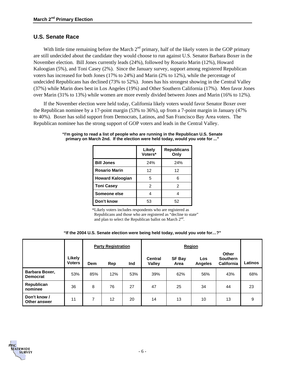### **U.S. Senate Race**

With little time remaining before the March  $2<sup>nd</sup>$  primary, half of the likely voters in the GOP primary are still undecided about the candidate they would choose to run against U.S. Senator Barbara Boxer in the November election. Bill Jones currently leads (24%), followed by Rosario Marin (12%), Howard Kaloogian (5%), and Toni Casey (2%). Since the January survey, support among registered Republican voters has increased for both Jones (17% to 24%) and Marin (2% to 12%), while the percentage of undecided Republicans has declined (73% to 52%). Jones has his strongest showing in the Central Valley (37%) while Marin does best in Los Angeles (19%) and Other Southern California (17%). Men favor Jones over Marin (31% to 13%) while women are more evenly divided between Jones and Marin (16% to 12%).

If the November election were held today, California likely voters would favor Senator Boxer over the Republican nominee by a 17-point margin (53% to 36%), up from a 7-point margin in January (47% to 40%). Boxer has solid support from Democrats, Latinos, and San Francisco Bay Area voters. The Republican nominee has the strong support of GOP voters and leads in the Central Valley.

|                         | Likely<br>Voters* | <b>Republicans</b><br>Only |
|-------------------------|-------------------|----------------------------|
| <b>Bill Jones</b>       | 24%               | 24%                        |
| <b>Rosario Marin</b>    | 12                | 12                         |
| <b>Howard Kaloogian</b> | 5                 | հ                          |
| <b>Toni Casey</b>       | 2                 | 2                          |
| Someone else            |                   |                            |
| Don't know              | 53                | 52                         |

**"I'm going to read a list of people who are running in the Republican U.S. Senate primary on March 2nd. If the election were held today, would you vote for ..."** 

\*Likely voters includes respondents who are registered as Republicans and those who are registered as "decline to state" and plan to select the Republican ballot on March  $2<sup>nd</sup>$ .

**"If the 2004 U.S. Senate election were being held today, would you vote for…?"**

|                                   |                         | <b>Party Registration</b> |     |     | Region                          |                       |                       |                                        |         |
|-----------------------------------|-------------------------|---------------------------|-----|-----|---------------------------------|-----------------------|-----------------------|----------------------------------------|---------|
|                                   | Likely<br><b>Voters</b> | Dem                       | Rep | Ind | <b>Central</b><br><b>Valley</b> | <b>SF Bay</b><br>Area | Los<br><b>Angeles</b> | Other<br><b>Southern</b><br>California | Latinos |
| Barbara Boxer,<br><b>Democrat</b> | 53%                     | 85%                       | 12% | 53% | 39%                             | 62%                   | 56%                   | 43%                                    | 68%     |
| Republican<br>nominee             | 36                      | 8                         | 76  | 27  | 47                              | 25                    | 34                    | 44                                     | 23      |
| Don't know /<br>Other answer      | 11                      | 7                         | 12  | 20  | 14                              | 13                    | 10                    | 13                                     | 9       |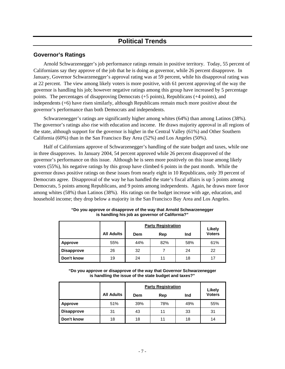### **Political Trends**

### **Governor's Ratings**

Arnold Schwarzenegger's job performance ratings remain in positive territory. Today, 55 percent of Californians say they approve of the job that he is doing as governor, while 26 percent disapprove. In January, Governor Schwarzenegger's approval rating was at 59 percent, while his disapproval rating was at 22 percent. The view among likely voters is more positive, with 61 percent approving of the way the governor is handling his job; however negative ratings among this group have increased by 5 percentage points. The percentages of disapproving Democrats (+5 points), Republicans (+4 points), and independents (+6) have risen similarly, although Republicans remain much more positive about the governor's performance than both Democrats and independents.

Schwarzenegger's ratings are significantly higher among whites (64%) than among Latinos (38%). The governor's ratings also rise with education and income. He draws majority approval in all regions of the state, although support for the governor is higher in the Central Valley (61%) and Other Southern California (60%) than in the San Francisco Bay Area (52%) and Los Angeles (50%).

Half of Californians approve of Schwarzenegger's handling of the state budget and taxes, while one in three disapproves. In January 2004, 54 percent approved while 26 percent disapproved of the governor's performance on this issue. Although he is seen more positively on this issue among likely voters (55%), his negative ratings by this group have climbed 6 points in the past month. While the governor draws positive ratings on these issues from nearly eight in 10 Republicans, only 39 percent of Democrats agree. Disapproval of the way he has handled the state's fiscal affairs is up 5 points among Democrats, 5 points among Republicans, and 9 points among independents. Again, he draws more favor among whites (58%) than Latinos (38%). His ratings on the budget increase with age, education, and household income; they drop below a majority in the San Francisco Bay Area and Los Angeles.

|                   |                   |     | <b>Party Registration</b> |     |                         |  |
|-------------------|-------------------|-----|---------------------------|-----|-------------------------|--|
|                   | <b>All Adults</b> | Dem | Rep                       | Ind | Likely<br><b>Voters</b> |  |
| Approve           | 55%               | 44% | 82%                       | 58% | 61%                     |  |
| <b>Disapprove</b> | 26                | 32  |                           | 24  | 22                      |  |
| Don't know        | 19                | 24  | 11                        | 18  | 17                      |  |

**"Do you approve or disapprove of the way that Arnold Schwarzenegger is handling his job as governor of California?"** 

**"Do you approve or disapprove of the way that Governor Schwarzenegger is handling the issue of the state budget and taxes?"** 

|                   |                   |     | <b>Party Registration</b> |     |                         |  |  |
|-------------------|-------------------|-----|---------------------------|-----|-------------------------|--|--|
|                   | <b>All Adults</b> | Dem | Rep                       | Ind | Likely<br><b>Voters</b> |  |  |
| <b>Approve</b>    | 51%               | 39% | 78%                       | 49% | 55%                     |  |  |
| <b>Disapprove</b> | 31                | 43  | 11                        | 33  | 31                      |  |  |
| Don't know        | 18                | 18  | 11                        | 18  | 14                      |  |  |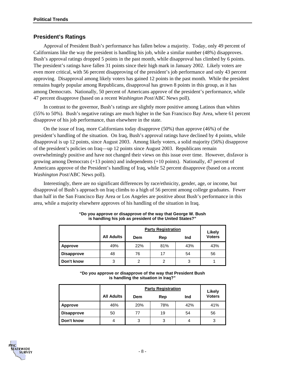### **President's Ratings**

Approval of President Bush's performance has fallen below a majority. Today, only 49 percent of Californians like the way the president is handling his job, while a similar number (48%) disapproves. Bush's approval ratings dropped 5 points in the past month, while disapproval has climbed by 6 points. The president's ratings have fallen 31 points since their high mark in January 2002. Likely voters are even more critical, with 56 percent disapproving of the president's job performance and only 43 percent approving. Disapproval among likely voters has gained 12 points in the past month. While the president remains hugely popular among Republicans, disapproval has grown 8 points in this group, as it has among Democrats. Nationally, 50 percent of Americans approve of the president's performance, while 47 percent disapprove (based on a recent *Washington Post*/ABC News poll).

In contrast to the governor, Bush's ratings are slightly more positive among Latinos than whites (55% to 50%). Bush's negative ratings are much higher in the San Francisco Bay Area, where 61 percent disapprove of his job performance, than elsewhere in the state.

On the issue of Iraq, more Californians today disapprove (50%) than approve (46%) of the president's handling of the situation. On Iraq, Bush's approval ratings have declined by 4 points, while disapproval is up 12 points, since August 2003. Among likely voters, a solid majority (56%) disapprove of the president's policies on Iraq—up 12 points since August 2003. Republicans remain overwhelmingly positive and have not changed their views on this issue over time. However, disfavor is growing among Democrats (+13 points) and independents (+10 points). Nationally, 47 percent of Americans approve of the President's handling of Iraq, while 52 percent disapprove (based on a recent *Washington Post*/ABC News poll).

Interestingly, there are no significant differences by race/ethnicity, gender, age, or income, but disapproval of Bush's approach on Iraq climbs to a high of 56 percent among college graduates. Fewer than half in the San Francisco Bay Area or Los Angeles are positive about Bush's performance in this area, while a majority elsewhere approves of his handling of the situation in Iraq.

|                   |                   |     | <b>Party Registration</b> |     |                         |  |  |
|-------------------|-------------------|-----|---------------------------|-----|-------------------------|--|--|
|                   | <b>All Adults</b> | Dem | Rep                       | Ind | Likely<br><b>Voters</b> |  |  |
| Approve           | 49%               | 22% | 81%                       | 43% | 43%                     |  |  |
| <b>Disapprove</b> | 48                | 76  | 17                        | 54  | 56                      |  |  |
| Don't know        | 3                 | 2   | 2                         | 3   |                         |  |  |

#### **"Do you approve or disapprove of the way that George W. Bush is handling his job as president of the United States?"**

**"Do you approve or disapprove of the way that President Bush is handling the situation in Iraq?"** 

|                   |                   |     | <b>Party Registration</b> |     |                         |  |
|-------------------|-------------------|-----|---------------------------|-----|-------------------------|--|
|                   | <b>All Adults</b> | Dem | Rep                       | Ind | Likely<br><b>Voters</b> |  |
| Approve           | 46%               | 20% | 78%                       | 42% | 41%                     |  |
| <b>Disapprove</b> | 50                | 77  | 19                        | 54  | 56                      |  |
| Don't know        | 4                 | 3   | 3                         | 4   | 3                       |  |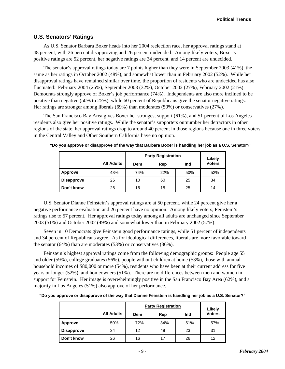### **U.S. Senators' Ratings**

As U.S. Senator Barbara Boxer heads into her 2004 reelection race, her approval ratings stand at 48 percent, with 26 percent disapproving and 26 percent undecided. Among likely voters, Boxer's positive ratings are 52 percent, her negative ratings are 34 percent, and 14 percent are undecided.

The senator's approval ratings today are 7 points higher than they were in September 2003 (41%), the same as her ratings in October 2002 (48%), and somewhat lower than in February 2002 (52%). While her disapproval ratings have remained similar over time, the proportion of residents who are undecided has also fluctuated: February 2004 (26%), September 2003 (32%), October 2002 (27%), February 2002 (21%). Democrats strongly approve of Boxer's job performance (74%). Independents are also more inclined to be positive than negative (50% to 25%), while 60 percent of Republicans give the senator negative ratings. Her ratings are stronger among liberals (69%) than moderates (50%) or conservatives (27%).

The San Francisco Bay Area gives Boxer her strongest support (61%), and 51 percent of Los Angeles residents also give her positive ratings. While the senator's supporters outnumber her detractors in other regions of the state, her approval ratings drop to around 40 percent in those regions because one in three voters in the Central Valley and Other Southern California have no opinion.

|                   |                   | <b>Party Registration</b> | Likely |     |               |
|-------------------|-------------------|---------------------------|--------|-----|---------------|
|                   | <b>All Adults</b> | Dem                       | Rep    | Ind | <b>Voters</b> |
| Approve           | 48%               | 74%                       | 22%    | 50% | 52%           |
| <b>Disapprove</b> | 26                | 10                        | 60     | 25  | 34            |
| Don't know        | 26                | 16                        | 18     | 25  | 14            |

**"Do you approve or disapprove of the way that Barbara Boxer is handling her job as a U.S. Senator?"** 

U.S. Senator Dianne Feinstein's approval ratings are at 50 percent, while 24 percent give her a negative performance evaluation and 26 percent have no opinion. Among likely voters, Feinstein's ratings rise to 57 percent. Her approval ratings today among all adults are unchanged since September 2003 (51%) and October 2002 (49%) and somewhat lower than in February 2002 (57%).

Seven in 10 Democrats give Feinstein good performance ratings, while 51 percent of independents and 34 percent of Republicans agree. As for ideological differences, liberals are more favorable toward the senator (64%) than are moderates (53%) or conservatives (36%).

Feinstein's highest approval ratings come from the following demographic groups: People age 55 and older (59%), college graduates (56%), people without children at home (53%), those with annual household incomes of \$80,000 or more (54%), residents who have been at their current address for five years or longer (52%), and homeowners (51%). There are no differences between men and women in support for Feinstein. Her image is overwhelmingly positive in the San Francisco Bay Area (62%), and a majority in Los Angeles (51%) also approve of her performance.

**"Do you approve or disapprove of the way that Dianne Feinstein is handling her job as a U.S. Senator?"** 

|                   |                   | <b>Party Registration</b> | Likely |     |               |
|-------------------|-------------------|---------------------------|--------|-----|---------------|
|                   | <b>All Adults</b> | Dem                       | Rep    | Ind | <b>Voters</b> |
| <b>Approve</b>    | 50%               | 72%                       | 34%    | 51% | 57%           |
| <b>Disapprove</b> | 24                | 12                        | 49     | 23  | 31            |
| Don't know        | 26                | 16                        | 17     | 26  | 12            |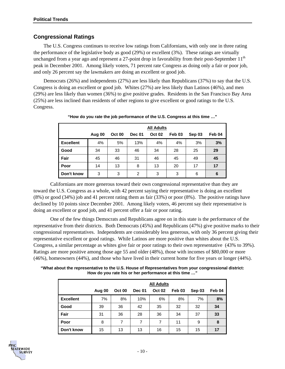### **Congressional Ratings**

The U.S. Congress continues to receive low ratings from Californians, with only one in three rating the performance of the legislative body as good (29%) or excellent (3%). These ratings are virtually unchanged from a year ago and represent a 27-point drop in favorability from their post-September  $11<sup>th</sup>$ peak in December 2001. Among likely voters, 71 percent rate Congress as doing only a fair or poor job, and only 26 percent say the lawmakers are doing an excellent or good job.

Democrats (26%) and independents (27%) are less likely than Republicans (37%) to say that the U.S. Congress is doing an excellent or good job. Whites (27%) are less likely than Latinos (46%), and men (29%) are less likely than women (36%) to give positive grades. Residents in the San Francisco Bay Area (25%) are less inclined than residents of other regions to give excellent or good ratings to the U.S. Congress.

|                  | <b>All Adults</b> |               |                |               |                   |        |        |
|------------------|-------------------|---------------|----------------|---------------|-------------------|--------|--------|
|                  | Aug 00            | <b>Oct 00</b> | <b>Dec 01</b>  | <b>Oct 02</b> | Feb <sub>03</sub> | Sep 03 | Feb 04 |
| <b>Excellent</b> | 4%                | 5%            | 13%            | 4%            | 4%                | 3%     | 3%     |
| Good             | 34                | 33            | 46             | 34            | 28                | 25     | 29     |
| Fair             | 45                | 46            | 31             | 46            | 45                | 49     | 45     |
| Poor             | 14                | 13            | 8              | 13            | 20                | 17     | 17     |
| Don't know       | 3                 | 3             | $\overline{2}$ | 3             | 3                 | 6      | 6      |

**"How do you rate the job performance of the U.S. Congress at this time …"** 

Californians are more generous toward their own congressional representative than they are toward the U.S. Congress as a whole, with 42 percent saying their representative is doing an excellent (8%) or good (34%) job and 41 percent rating them as fair (33%) or poor (8%). The positive ratings have declined by 10 points since December 2001. Among likely voters, 46 percent say their representative is doing an excellent or good job, and 41 percent offer a fair or poor rating.

One of the few things Democrats and Republicans agree on in this state is the performance of the representative from their districts. Both Democrats (45%) and Republicans (47%) give positive marks to their congressional representatives. Independents are considerably less generous, with only 36 percent giving their representative excellent or good ratings. While Latinos are more positive than whites about the U.S. Congress, a similar percentage as whites give fair or poor ratings to their own representative (43% to 39%). Ratings are more positive among those age 55 and older (48%), those with incomes of \$80,000 or more (46%), homeowners (44%), and those who have lived in their current home for five years or longer (44%).

**"What about the representative to the U.S. House of Representatives from your congressional district: How do you rate his or her performance at this time …"**

|                  | <b>All Adults</b> |               |               |               |                   |        |        |  |
|------------------|-------------------|---------------|---------------|---------------|-------------------|--------|--------|--|
|                  | Aug 00            | <b>Oct 00</b> | <b>Dec 01</b> | <b>Oct 02</b> | Feb <sub>03</sub> | Sep 03 | Feb 04 |  |
| <b>Excellent</b> | 7%                | 8%            | 10%           | 6%            | 8%                | 7%     | 8%     |  |
| Good             | 39                | 36            | 42            | 35            | 32                | 32     | 34     |  |
| Fair             | 31                | 36            | 28            | 36            | 34                | 37     | 33     |  |
| Poor             | 8                 | 7             | 7             | 7             | 11                | 9      | 8      |  |
| Don't know       | 15                | 13            | 13            | 16            | 15                | 15     | 17     |  |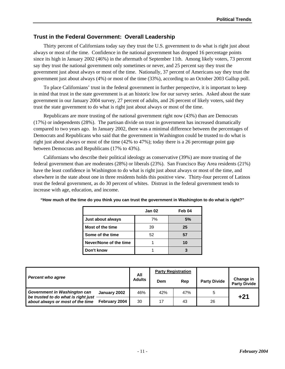### **Trust in the Federal Government: Overall Leadership**

Thirty percent of Californians today say they trust the U.S. government to do what is right just about always or most of the time. Confidence in the national government has dropped 16 percentage points since its high in January 2002 (46%) in the aftermath of September 11th. Among likely voters, 73 percent say they trust the national government only sometimes or never, and 25 percent say they trust the government just about always or most of the time. Nationally, 37 percent of Americans say they trust the government just about always (4%) or most of the time (33%), according to an October 2003 Gallup poll.

To place Californians' trust in the federal government in further perspective, it is important to keep in mind that trust in the state government is at an historic low for our survey series. Asked about the state government in our January 2004 survey, 27 percent of adults, and 26 percent of likely voters, said they trust the state government to do what is right just about always or most of the time.

Republicans are more trusting of the national government right now (43%) than are Democrats (17%) or independents (28%). The partisan divide on trust in government has increased dramatically compared to two years ago. In January 2002, there was a minimal difference between the percentages of Democrats and Republicans who said that the government in Washington could be trusted to do what is right just about always or most of the time (42% to 47%); today there is a 26 percentage point gap between Democrats and Republicans (17% to 43%).

Californians who describe their political ideology as conservative (39%) are more trusting of the federal government than are moderates (28%) or liberals (23%). San Francisco Bay Area residents (21%) have the least confidence in Washington to do what is right just about always or most of the time, and elsewhere in the state about one in three residents holds this positive view. Thirty-four percent of Latinos trust the federal government, as do 30 percent of whites. Distrust in the federal government tends to increase with age, education, and income.

|                        | Jan 02 | Feb 04 |
|------------------------|--------|--------|
| Just about always      | 7%     | 5%     |
| Most of the time       | 39     | 25     |
| Some of the time       | 52     | 57     |
| Never/None of the time |        | 10     |
| Don't know             |        |        |

**"How much of the time do you think you can trust the government in Washington to do what is right?"** 

| <b>Percent who agree</b>                                            |               | All           | <b>Party Registration</b> |     |                     |                                  |
|---------------------------------------------------------------------|---------------|---------------|---------------------------|-----|---------------------|----------------------------------|
|                                                                     |               | <b>Adults</b> | Dem                       | Rep | <b>Party Divide</b> | Change in<br><b>Party Divide</b> |
| Government in Washington can<br>be trusted to do what is right just | January 2002  | 46%           | 42%                       | 47% | 5                   | $+21$                            |
| about always or most of the time                                    | February 2004 | 30            | 17                        | 43  | 26                  |                                  |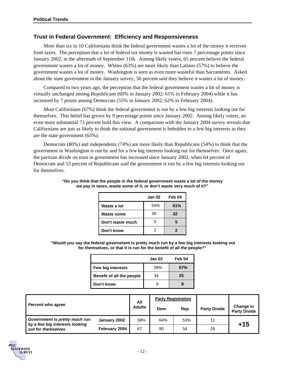### **Trust in Federal Government: Efficiency and Responsiveness**

More than six in 10 Californians think the federal government wastes a lot of the money it receives from taxes. The perception that a lot of federal tax money is wasted has risen 7 percentage points since January 2002, in the aftermath of September 11th. Among likely voters, 65 percent believe the federal government wastes a lot of money. Whites (63%) are more likely than Latinos (57%) to believe the government wastes a lot of money. Washington is seen as even more wasteful than Sacramento. Asked about the state government in the January survey, 56 percent said they believe it wastes a lot of money.

Compared to two years ago, the perception that the federal government wastes a lot of money is virtually unchanged among Republicans (60% in January 2002; 61% in February 2004) while it has increased by 7 points among Democrats (55% in January 2002; 62% in February 2004).

Most Californians (67%) think the federal government is run by a few big interests looking out for themselves. This belief has grown by 9 percentage points since January 2002. Among likely voters, an even more substantial 73 percent hold this view. A comparison with the January 2004 survey reveals that Californians are just as likely to think the national government is beholden to a few big interests as they are the state government (65%).

Democrats (80%) and independents (74%) are more likely than Republicans (54%) to think that the government in Washington is run by and for a few big interests looking out for themselves. Once again, the partisan divide on trust in government has increased since January 2002, when 64 percent of Democrats and 53 percent of Republicans said the government is run by a few big interests looking out for themselves.

|                   | Jan 02 | Feb 04 |
|-------------------|--------|--------|
| Waste a lot       | 54%    | 61%    |
| <b>Waste some</b> | 39     | 32     |
| Don't waste much  | 5      |        |
| Don't know        |        |        |

#### **"Do you think that the people in the federal government waste a lot of the money we pay in taxes, waste some of it, or don't waste very much of it?"**

 **"Would you say the federal government is pretty much run by a few big interests looking out for themselves, or that it is run for the benefit of all the people?"** 

|                           | Jan 02 | Feb 04 |
|---------------------------|--------|--------|
| Few big interests         | 58%    | 67%    |
| Benefit of all the people | 34     | 25     |
| Don't know                |        |        |

| <b>Percent who agree</b>                                        |               | All           | <b>Party Registration</b> |     |                     |                                  |
|-----------------------------------------------------------------|---------------|---------------|---------------------------|-----|---------------------|----------------------------------|
|                                                                 |               | <b>Adults</b> | Dem                       | Rep | <b>Party Divide</b> | Change in<br><b>Party Divide</b> |
| Government is pretty much run<br>by a few big interests looking | January 2002  | 58%           | 64%                       | 53% | 11                  |                                  |
| out for themselves                                              | February 2004 | 67            | 80                        | 54  | 26                  | $+15$                            |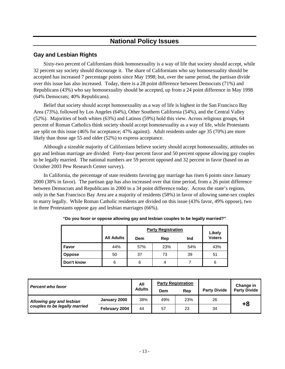### **National Policy Issues**

### **Gay and Lesbian Rights**

Sixty-two percent of Californians think homosexuality is a way of life that society should accept, while 32 percent say society should discourage it. The share of Californians who say homosexuality should be accepted has increased 7 percentage points since May 1998; but, over the same period, the partisan divide over this issue has also increased. Today, there is a 28 point difference between Democrats (71%) and Republicans (43%) who say homosexuality should be accepted, up from a 24 point difference in May 1998 (64% Democrats; 40% Republicans).

Belief that society should accept homosexuality as a way of life is highest in the San Francisco Bay Area (73%), followed by Los Angeles (64%), Other Southern California (54%), and the Central Valley (52%). Majorities of both whites (63%) and Latinos (59%) hold this view. Across religious groups, 64 percent of Roman Catholics think society should accept homosexuality as a way of life, while Protestants are split on this issue (46% for acceptance; 47% against). Adult residents under age 35 (70%) are more likely than those age 55 and older (52%) to express acceptance.

Although a sizeable majority of Californians believe society should accept homosexuality, attitudes on gay and lesbian marriage are divided: Forty-four percent favor and 50 percent oppose allowing gay couples to be legally married. The national numbers are 59 percent opposed and 32 percent in favor (based on an October 2003 Pew Research Center survey).

In California, the percentage of state residents favoring gay marriage has risen 6 points since January 2000 (38% in favor). The partisan gap has also increased over that time period, from a 26 point difference between Democrats and Republicans in 2000 to a 34 point difference today. Across the state's regions, only in the San Francisco Bay Area are a majority of residents (58%) in favor of allowing same-sex couples to marry legally. While Roman Catholic residents are divided on this issue (43% favor, 49% oppose), two in three Protestants oppose gay and lesbian marriages (66%).

|               |                   | <b>Party Registration</b> | Likely |     |               |
|---------------|-------------------|---------------------------|--------|-----|---------------|
|               | <b>All Adults</b> | Dem                       | Rep    | Ind | <b>Voters</b> |
| Favor         | 44%               | 57%                       | 23%    | 54% | 43%           |
| <b>Oppose</b> | 50                | 37                        | 73     | 39  | 51            |
| Don't know    | 6                 | 6                         | 4      |     | 6             |

|  |  |  | "Do you favor or oppose allowing gay and lesbian couples to be legally married?" |
|--|--|--|----------------------------------------------------------------------------------|

| <b>Percent who favor</b>                                  |               | All           |     | <b>Party Registration</b> |                     | Change in           |
|-----------------------------------------------------------|---------------|---------------|-----|---------------------------|---------------------|---------------------|
|                                                           |               | <b>Adults</b> | Dem | Rep                       | <b>Party Divide</b> | <b>Party Divide</b> |
| Allowing gay and lesbian<br>couples to be legally married | January 2000  | 38%           | 49% | 23%                       | 26                  |                     |
|                                                           | February 2004 | 44            | 57  | 23                        | 34                  | +8                  |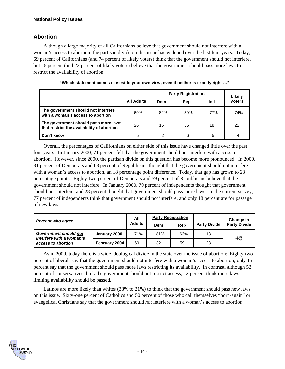### **Abortion**

Although a large majority of all Californians believe that government should not interfere with a woman's access to abortion, the partisan divide on this issue has widened over the last four years. Today, 69 percent of Californians (and 74 percent of likely voters) think that the government should not interfere, but 26 percent (and 22 percent of likely voters) believe that the government should pass more laws to restrict the availability of abortion.

|                                                                                    |                   | <b>Party Registration</b> |     |     | Likely        |
|------------------------------------------------------------------------------------|-------------------|---------------------------|-----|-----|---------------|
|                                                                                    | <b>All Adults</b> | Dem                       | Rep | Ind | <b>Voters</b> |
| The government should not interfere<br>with a woman's access to abortion           | 69%               | 82%                       | 59% | 77% | 74%           |
| The government should pass more laws<br>that restrict the availability of abortion | 26                | 16                        | 35  | 18  | 22            |
| Don't know                                                                         | 5                 | 2                         | 6   | 5   | 4             |

**"Which statement comes closest to your own view, even if neither is exactly right …"** 

Overall, the percentages of Californians on either side of this issue have changed little over the past four years. In January 2000, 71 percent felt that the government should not interfere with access to abortion. However, since 2000, the partisan divide on this question has become more pronounced. In 2000, 81 percent of Democrats and 63 percent of Republicans thought that the government should not interfere with a woman's access to abortion, an 18 percentage point difference. Today, that gap has grown to 23 percentage points: Eighty-two percent of Democrats and 59 percent of Republicans believe that the government should not interfere. In January 2000, 70 percent of independents thought that government should not interfere, and 28 percent thought that government should pass more laws. In the current survey, 77 percent of independents think that government should not interfere, and only 18 percent are for passage of new laws.

| <b>Percent who agree</b>                                 |               | All           | <b>Party Registration</b> |     |                     | Change in           |
|----------------------------------------------------------|---------------|---------------|---------------------------|-----|---------------------|---------------------|
|                                                          |               | <b>Adults</b> | Dem                       | Rep | <b>Party Divide</b> | <b>Party Divide</b> |
| <b>Government should not</b><br>interfere with a woman's | January 2000  | 71%           | 81%                       | 63% | 18                  | +5                  |
| access to abortion                                       | February 2004 | 69            | 82                        | 59  | 23                  |                     |

As in 2000, today there is a wide ideological divide in the state over the issue of abortion: Eighty-two percent of liberals say that the government should not interfere with a woman's access to abortion; only 15 percent say that the government should pass more laws restricting its availability. In contrast, although 52 percent of conservatives think the government should not restrict access, 42 percent think more laws limiting availability should be passed.

Latinos are more likely than whites (38% to 21%) to think that the government should pass new laws on this issue. Sixty-one percent of Catholics and 50 percent of those who call themselves "born-again" or evangelical Christians say that the government should *not* interfere with a woman's access to abortion.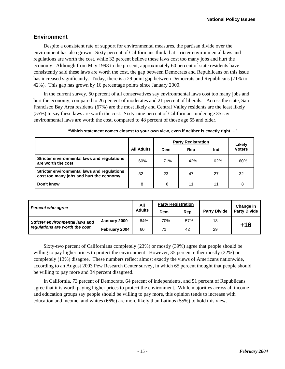### **Environment**

Despite a consistent rate of support for environmental measures, the partisan divide over the environment has also grown. Sixty percent of Californians think that stricter environmental laws and regulations are worth the cost, while 32 percent believe these laws cost too many jobs and hurt the economy. Although from May 1998 to the present, approximately 60 percent of state residents have consistently said these laws are worth the cost, the gap between Democrats and Republicans on this issue has increased significantly. Today, there is a 29 point gap between Democrats and Republicans (71% to 42%). This gap has grown by 16 percentage points since January 2000.

In the current survey, 50 percent of all conservatives say environmental laws cost too many jobs and hurt the economy, compared to 26 percent of moderates and 21 percent of liberals. Across the state, San Francisco Bay Area residents (67%) are the most likely and Central Valley residents are the least likely (55%) to say these laws are worth the cost. Sixty-nine percent of Californians under age 35 say environmental laws are worth the cost, compared to 48 percent of those age 55 and older.

|                                                                                        |                   | <b>Party Registration</b> | Likely |     |               |
|----------------------------------------------------------------------------------------|-------------------|---------------------------|--------|-----|---------------|
|                                                                                        | <b>All Adults</b> | Dem                       | Rep    | Ind | <b>Voters</b> |
| Stricter environmental laws and regulations<br>are worth the cost                      | 60%               | 71%                       | 42%    | 62% | 60%           |
| Stricter environmental laws and regulations<br>cost too many jobs and hurt the economy | 32                | 23                        | 47     | 27  | 32            |
| Don't know                                                                             | 8                 | 6                         | 11     | 11  | 8             |

| "Which statement comes closest to your own view, even if neither is exactly right $$ " |  |  |
|----------------------------------------------------------------------------------------|--|--|
|----------------------------------------------------------------------------------------|--|--|

| <b>Percent who agree</b>                                                 |               | All           | <b>Party Registration</b> |     |                     | Change in           |
|--------------------------------------------------------------------------|---------------|---------------|---------------------------|-----|---------------------|---------------------|
|                                                                          |               | <b>Adults</b> | Dem                       | Rep | <b>Party Divide</b> | <b>Party Divide</b> |
| <b>Stricter environmental laws and</b><br>regulations are worth the cost | January 2000  | 64%           | 70%                       | 57% | 13                  | $+16$               |
|                                                                          | February 2004 | 60            | 71                        | 42  | 29                  |                     |

Sixty-two percent of Californians completely (23%) or mostly (39%) agree that people should be willing to pay higher prices to protect the environment. However, 35 percent either mostly (22%) or completely (13%) disagree. These numbers reflect almost exactly the views of Americans nationwide, according to an August 2003 Pew Research Center survey, in which 65 percent thought that people should be willing to pay more and 34 percent disagreed.

In California, 73 percent of Democrats, 64 percent of independents, and 51 percent of Republicans agree that it is worth paying higher prices to protect the environment. While majorities across all income and education groups say people should be willing to pay more, this opinion tends to increase with education and income, and whites (66%) are more likely than Latinos (55%) to hold this view.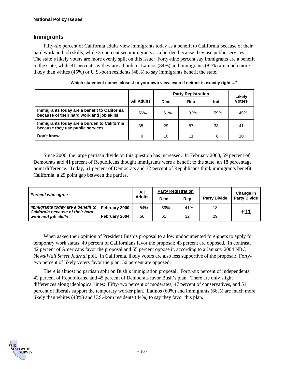### **Immigrants**

Fifty-six percent of California adults view immigrants today as a benefit to California because of their hard work and job skills, while 35 percent see immigrants as a burden because they use public services. The state's likely voters are more evenly split on this issue: Forty-nine percent say immigrants are a benefit to the state, while 41 percent say they are a burden. Latinos (84%) and immigrants (82%) are much more likely than whites (45%) or U.S.-born residents (48%) to say immigrants benefit the state.

|                                                                                           |                   | <b>Party Registration</b> | Likely |     |               |
|-------------------------------------------------------------------------------------------|-------------------|---------------------------|--------|-----|---------------|
|                                                                                           | <b>All Adults</b> | Dem                       | Rep    | Ind | <b>Voters</b> |
| Immigrants today are a benefit to California<br>because of their hard work and job skills | 56%               | 61%                       | 32%    | 59% | 49%           |
| Immigrants today are a burden to California<br>because they use public services           | 35                | 29                        | 57     | 33  | 41            |
| Don't know                                                                                | 9                 | 10                        | 11     | 8   | 10            |

**"Which statement comes closest to your own view, even if neither is exactly right ..."** 

Since 2000, the large partisan divide on this question has increased. In February 2000, 59 percent of Democrats and 41 percent of Republicans thought immigrants were a benefit to the state, an 18 percentage point difference. Today, 61 percent of Democrats and 32 percent of Republicans think immigrants benefit California, a 29 point gap between the parties.

| <b>Percent who agree</b>                                                                     |               | All           |     | <b>Party Registration</b> |                     | Change in           |
|----------------------------------------------------------------------------------------------|---------------|---------------|-----|---------------------------|---------------------|---------------------|
|                                                                                              |               | <b>Adults</b> | Dem | Rep                       | <b>Party Divide</b> | <b>Party Divide</b> |
| Immigrants today are a benefit to<br>California because of their hard<br>work and job skills | February 2000 | 54%           | 59% | 41%                       | 18                  | $+11$               |
|                                                                                              | February 2004 | 56            | 61  | 32                        | 29                  |                     |

When asked their opinion of President Bush's proposal to allow undocumented foreigners to apply for temporary work status, 49 percent of Californians favor the proposal; 43 percent are opposed. In contrast, 42 percent of Americans favor the proposal and 55 percent oppose it, according to a January 2004 NBC News/*Wall Street Journal* poll. In California, likely voters are also less supportive of the proposal: Fortytwo percent of likely voters favor the plan; 50 percent are opposed.

There is almost no partisan split on Bush's immigration proposal: Forty-six percent of independents, 42 percent of Republicans, and 45 percent of Democrats favor Bush's plan. There are only slight differences along ideological lines: Fifty-two percent of moderates, 47 percent of conservatives, and 51 percent of liberals support the temporary worker plan. Latinos (69%) and immigrants (66%) are much more likely than whites (43%) and U.S.-born residents (44%) to say they favor this plan.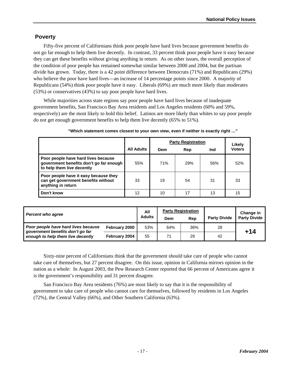### **Poverty**

Fifty-five percent of Californians think poor people have hard lives because government benefits do not go far enough to help them live decently. In contrast, 33 percent think poor people have it easy because they can get these benefits without giving anything in return. As on other issues, the overall perception of the condition of poor people has remained somewhat similar between 2000 and 2004, but the partisan divide has grown. Today, there is a 42 point difference between Democrats (71%) and Republicans (29%) who believe the poor have hard lives—an increase of 14 percentage points since 2000. A majority of Republicans (54%) think poor people have it easy. Liberals (69%) are much more likely than moderates (53%) or conservatives (43%) to say poor people have hard lives.

While majorities across state regions say poor people have hard lives because of inadequate government benefits, San Francisco Bay Area residents and Los Angeles residents (60% and 59%, respectively) are the most likely to hold this belief. Latinos are more likely than whites to say poor people do not get enough government benefits to help them live decently (65% to 51%).

|                                                                                                              | <b>Party Registration</b> |     |            |     | Likely        |
|--------------------------------------------------------------------------------------------------------------|---------------------------|-----|------------|-----|---------------|
|                                                                                                              | <b>All Adults</b>         | Dem | Rep        | Ind | <b>Voters</b> |
| Poor people have hard lives because<br>government benefits don't go far enough<br>to help them live decently | 55%                       | 71% | <b>29%</b> | 56% | 52%           |
| Poor people have it easy because they<br>can get government benefits without<br>anything in return           | 33                        | 19  | 54         | 31  | 33            |
| Don't know                                                                                                   | 12                        | 10  | 17         | 13  | 15            |

|  |  | "Which statement comes closest to your own view, even if neither is exactly right " |  |  |  |  |  |  |  |  |  |
|--|--|-------------------------------------------------------------------------------------|--|--|--|--|--|--|--|--|--|
|--|--|-------------------------------------------------------------------------------------|--|--|--|--|--|--|--|--|--|

| <b>Percent who agree</b>                                                                                     |               | All           | <b>Party Registration</b> |     |                     | Change in           |
|--------------------------------------------------------------------------------------------------------------|---------------|---------------|---------------------------|-----|---------------------|---------------------|
|                                                                                                              |               | <b>Adults</b> | Dem                       | Rep | <b>Party Divide</b> | <b>Party Divide</b> |
| Poor people have hard lives because<br>government benefits don't go far<br>enough to help them live decently | February 2000 | 53%           | 64%                       | 36% | 28                  | +14                 |
|                                                                                                              | February 2004 | 55            | 71                        | 29  | 42                  |                     |

Sixty-nine percent of Californians think that the government should take care of people who cannot take care of themselves, but 27 percent disagree. On this issue, opinion in California mirrors opinion in the nation as a whole: In August 2003, the Pew Research Center reported that 66 percent of Americans agree it is the government's responsibility and 31 percent disagree.

San Francisco Bay Area residents (76%) are most likely to say that it is the responsibility of government to take care of people who cannot care for themselves, followed by residents in Los Angeles (72%), the Central Valley (66%), and Other Southern California (63%).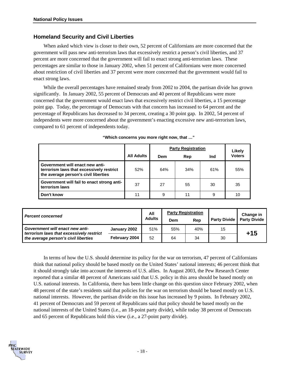### **Homeland Security and Civil Liberties**

When asked which view is closer to their own, 52 percent of Californians are more concerned that the government will pass new anti-terrorism laws that excessively restrict a person's civil liberties, and 37 percent are more concerned that the government will fail to enact strong anti-terrorism laws. These percentages are similar to those in January 2002, when 51 percent of Californians were more concerned about restriction of civil liberties and 37 percent were more concerned that the government would fail to enact strong laws.

While the overall percentages have remained steady from 2002 to 2004, the partisan divide has grown significantly. In January 2002, 55 percent of Democrats and 40 percent of Republicans were more concerned that the government would enact laws that excessively restrict civil liberties, a 15 percentage point gap. Today, the percentage of Democrats with that concern has increased to 64 percent and the percentage of Republicans has decreased to 34 percent, creating a 30 point gap. In 2002, 54 percent of independents were more concerned about the government's enacting excessive new anti-terrorism laws, compared to 61 percent of independents today.

|                                                                                                                     |                   | <b>Party Registration</b> | Likely |     |               |
|---------------------------------------------------------------------------------------------------------------------|-------------------|---------------------------|--------|-----|---------------|
|                                                                                                                     | <b>All Adults</b> | Dem                       | Rep    | Ind | <b>Voters</b> |
| Government will enact new anti-<br>terrorism laws that excessively restrict<br>the average person's civil liberties | 52%               | 64%                       | 34%    | 61% | 55%           |
| Government will fail to enact strong anti-<br>terrorism laws                                                        | 37                | 27                        | 55     | 30  | 35            |
| Don't know                                                                                                          | 11                | 9                         | 11     | 9   | 10            |

#### **"Which concerns you more right now, that …"**

| <b>Percent concerned</b>                                                                                            |               | All           | <b>Party Registration</b> |     |              | Change in           |
|---------------------------------------------------------------------------------------------------------------------|---------------|---------------|---------------------------|-----|--------------|---------------------|
|                                                                                                                     |               | <b>Adults</b> | Dem                       | Rep | Party Divide | <b>Party Divide</b> |
| Government will enact new anti-<br>terrorism laws that excessively restrict<br>the average person's civil liberties | January 2002  | 51%           | 55%                       | 40% | 15           | $+15$               |
|                                                                                                                     | February 2004 | 52            | 64                        | 34  | 30           |                     |

In terms of how the U.S. should determine its policy for the war on terrorism, 47 percent of Californians think that national policy should be based mostly on the United States' national interests; 46 percent think that it should strongly take into account the interests of U.S. allies. In August 2003, the Pew Research Center reported that a similar 48 percent of Americans said that U.S. policy in this area should be based mostly on U.S. national interests. In California, there has been little change on this question since February 2002, when 48 percent of the state's residents said that policies for the war on terrorism should be based mostly on U.S. national interests. However, the partisan divide on this issue has increased by 9 points. In February 2002, 41 percent of Democrats and 59 percent of Republicans said that policy should be based mostly on the national interests of the United States (i.e., an 18-point party divide), while today 38 percent of Democrats and 65 percent of Republicans hold this view (i.e., a 27-point party divide).

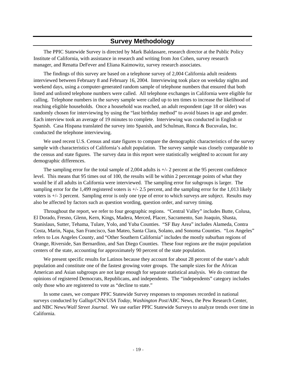### **Survey Methodology**

The PPIC Statewide Survey is directed by Mark Baldassare, research director at the Public Policy Institute of California, with assistance in research and writing from Jon Cohen, survey research manager, and Renatta DeFever and Eliana Kaimowitz, survey research associates.

The findings of this survey are based on a telephone survey of 2,004 California adult residents interviewed between February 8 and February 16, 2004. Interviewing took place on weekday nights and weekend days, using a computer-generated random sample of telephone numbers that ensured that both listed and unlisted telephone numbers were called. All telephone exchanges in California were eligible for calling. Telephone numbers in the survey sample were called up to ten times to increase the likelihood of reaching eligible households. Once a household was reached, an adult respondent (age 18 or older) was randomly chosen for interviewing by using the "last birthday method" to avoid biases in age and gender. Each interview took an average of 19 minutes to complete. Interviewing was conducted in English or Spanish. Casa Hispana translated the survey into Spanish, and Schulman, Ronca & Bucuvalas, Inc. conducted the telephone interviewing.

We used recent U.S. Census and state figures to compare the demographic characteristics of the survey sample with characteristics of California's adult population. The survey sample was closely comparable to the census and state figures. The survey data in this report were statistically weighted to account for any demographic differences.

The sampling error for the total sample of 2,004 adults is  $+/-$  2 percent at the 95 percent confidence level. This means that 95 times out of 100, the results will be within 2 percentage points of what they would be if all adults in California were interviewed. The sampling error for subgroups is larger. The sampling error for the 1,499 registered voters is  $+/- 2.5$  percent, and the sampling error for the 1,013 likely voters is +/- 3 percent. Sampling error is only one type of error to which surveys are subject. Results may also be affected by factors such as question wording, question order, and survey timing.

Throughout the report, we refer to four geographic regions. "Central Valley" includes Butte, Colusa, El Dorado, Fresno, Glenn, Kern, Kings, Madera, Merced, Placer, Sacramento, San Joaquin, Shasta, Stanislaus, Sutter, Tehama, Tulare, Yolo, and Yuba Counties. "SF Bay Area" includes Alameda, Contra Costa, Marin, Napa, San Francisco, San Mateo, Santa Clara, Solano, and Sonoma Counties. "Los Angeles" refers to Los Angeles County, and "Other Southern California" includes the mostly suburban regions of Orange, Riverside, San Bernardino, and San Diego Counties. These four regions are the major population centers of the state, accounting for approximately 90 percent of the state population.

We present specific results for Latinos because they account for about 28 percent of the state's adult population and constitute one of the fastest growing voter groups. The sample sizes for the African American and Asian subgroups are not large enough for separate statistical analysis. We do contrast the opinions of registered Democrats, Republicans, and independents. The "independents" category includes only those who are registered to vote as "decline to state."

In some cases, we compare PPIC Statewide Survey responses to responses recorded in national surveys conducted by Gallup/CNN/*USA Today*, *Washington Post*/ABC News, the Pew Research Center, and NBC News/*Wall Street Journal*. We use earlier PPIC Statewide Surveys to analyze trends over time in California.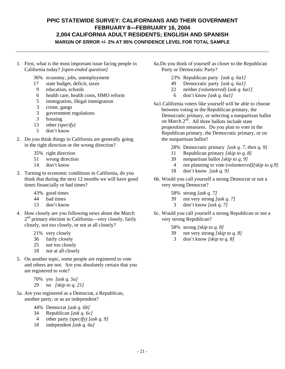### **PPIC STATEWIDE SURVEY: CALIFORNIANS AND THEIR GOVERNMENT FEBRUARY 8—FEBRUARY 16, 2004 2,004 CALIFORNIA ADULT RESIDENTS; ENGLISH AND SPANISH MARGIN OF ERROR +/- 2% AT 95% CONFIDENCE LEVEL FOR TOTAL SAMPLE**

- 1. First, what is the most important issue facing people in California today? *[open-ended question]* 
	- 36% economy, jobs, unemployment
	- 17 state budget, deficit, taxes
	- 9 education, schools
	- 6 health care, health costs, HMO reform
	- 5 immigration, illegal immigration
	- 3 crime, gangs<br>3 government r
	- 3 government regulations
	- 3 housing
	- 13 other *(specify)*
	- 5 don't know
- 2. Do you think things in California are generally going in the right direction or the wrong direction?
	- 35% right direction
	- 51 wrong direction
	- 14 don't know
- 3. Turning to economic conditions in California, do you think that during the next 12 months we will have good times financially or bad times?
	- 43% good times
	- 44 bad times
	- 13 don't know
- 4. How closely are you following news about the March 2<sup>nd</sup> primary election in California—very closely, fairly closely, not too closely, or not at all closely?
	- 21% very closely
	- 36 fairly closely
	- 25 not too closely
	- 18 not at all closely
- 5. On another topic, some people are registered to vote and others are not. Are you absolutely certain that you are registered to vote?
	- 70% yes *[ask q. 5a]* 29 no *[skip to q. 21]*
- 5a. Are you registered as a Democrat, a Republican, another party, or as an independent?
	- 44% Democrat *[ask q. 6b]*
	- 34 Republican *[ask q. 6c]*
	- 4 other party *(specify) [ask q. 9]*
	- 18 independent *[ask q. 6a]*
- 6a.Do you think of yourself as closer to the Republican Party or Democratic Party?
	- 23% Republican party *[ask q. 6a1]*
	- 49 Democratic party *[ask q. 6a1]*
	- 22 neither *(volunteered) [ask q. 6a1]*
	- 6 don't know *[ask q. 6a1]*
- 6a1.California voters like yourself will be able to choose between voting in the Republican primary, the Democratic primary, or selecting a nonpartisan ballot on March  $2<sup>n<sub>d</sub></sup>$ . All three ballots include state proposition measures. Do you plan to vote in the Republican primary, the Democratic primary, or on the nonpartisan ballot?
	- 28% Democratic primary *[ask q. 7, then q. 9]*
	- 11 Republican primary *[skip to q. 8]*
	- 39 nonpartisan ballot *[skip to q. 9]*
	- 4 not planning to vote *(volunteered)[skip to q.9]*
	- 18 don't know *[ask q. 9]*
- 6b. Would you call yourself a strong Democrat or not a very strong Democrat?
	- 58% strong *[ask q. 7]*
	- 39 not very strong *[ask q. 7]*
	- 3 don't know *[ask q. 7]*
- 6c. Would you call yourself a strong Republican or not a very strong Republican?
	- 58% strong *[skip to q. 8]*
	- 39 not very strong *[skip to q. 8]*
	- 3 don't know *[skip to q. 8]*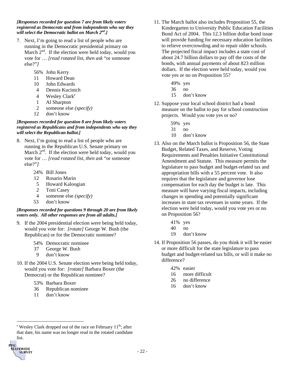*[Responses recorded for question 7 are from likely voters registered as Democrats and from independents who say they will select the Democratic ballot on March 2nd.]* 

- 7. Next, I'm going to read a list of people who are running in the Democratic presidential primary on March  $2<sup>nd</sup>$ . If the election were held today, would you vote for … *[read rotated list, then ask* "or someone else?"*]*
	- 56% John Kerry
	- 11 Howard Dean
	- 10 John Edwards
	- 4 Dennis Kucinich
	- 4 Wesley Clark\*
	- 1 Al Sharpton
	- 2 someone else *(specify)*
	- 12 don't know

#### *[Responses recorded for question 8 are from likely voters registered as Republicans and from independents who say they will select the Republican ballot.]*

- 8. Next, I'm going to read a list of people who are running in the Republican U.S. Senate primary on March  $2^{nd}$ . If the election were held today, would you vote for … *[read rotated list, then ask* "or someone else?"*]*
	- 24% Bill Jones
	- 12 Rosario Marin
	- 5 Howard Kaloogian
	- 2 Toni Casey
	- 4 someone else *(specify)*
	- 53 don't know

#### *[Responses recorded for questions 9 through 20 are from likely voters only. All other responses are from all adults.]*

- 9. If the 2004 presidential election were being held today, would you vote for: *[rotate]* George W. Bush (the Republican) or for the Democratic nominee?
	- 54% Democratic nominee
	- 37 George W. Bush
	- 9 don't know
- 10. If the 2004 U.S. Senate election were being held today, would you vote for: *[rotate]* Barbara Boxer (the Democrat) or the Republican nominee?
	- 53% Barbara Boxer
	- 36 Republican nominee
	- 11 don't know

 $\overline{a}$ 

PIC

**TATEWIDE SURVEY** 

- 11. The March ballot also includes Proposition 55, the Kindergarten to University Public Education Facilities Bond Act of 2004. This 12.3 billion dollar bond issue will provide funding for necessary education facilities to relieve overcrowding and to repair older schools. The projected fiscal impact includes a state cost of about 24.7 billion dollars to pay off the costs of the bonds, with annual payments of about 823 million dollars. If the election were held today, would you vote yes or no on Proposition 55?
	- 49% yes
	- 36 no
	- 15 don't know
- 12. Suppose your local school district had a bond measure on the ballot to pay for school construction projects. Would you vote yes or no?
	- 59% yes
	- 31 no
	- 10 don't know
- 13. Also on the March ballot is Proposition 56, the State Budget, Related Taxes, and Reserve, Voting Requirements and Penalties Initiative Constitutional Amendment and Statute. This measure permits the legislature to pass budget and budget-related tax and appropriation bills with a 55 percent vote. It also requires that the legislature and governor lose compensation for each day the budget is late. This measure will have varying fiscal impacts, including changes in spending and potentially significant increases in state tax revenues in some years. If the election were held today, would you vote yes or no on Proposition 56?
	- 41% yes
	- 40 no
	- 19 don't know
- 14. If Proposition 56 passes, do you think it will be easier or more difficult for the state legislature to pass budget and budget-related tax bills, or will it make no difference?
	- 42% easier
	- 16 more difficult
	- 26 no difference
	- 16 don't know

<span id="page-31-0"></span><sup>\*</sup> Wesley Clark dropped out of the race on February  $11<sup>th</sup>$ ; after that date, his name was no longer read in the rotated candidate list.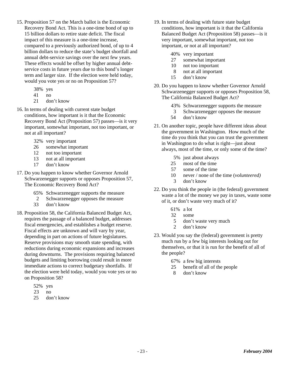- 15. Proposition 57 on the March ballot is the Economic Recovery Bond Act. This is a one-time bond of up to 15 billion dollars to retire state deficit. The fiscal impact of this measure is a one-time increase, compared to a previously authorized bond, of up to 4 billion dollars to reduce the state's budget shortfall and annual debt-service savings over the next few years. These effects would be offset by higher annual debtservice costs in future years due to this bond's longer term and larger size. If the election were held today, would you vote yes or no on Proposition 57?
	- 38% yes
	- 41 no
	- 21 don't know
- 16. In terms of dealing with current state budget conditions, how important is it that the Economic Recovery Bond Act (Proposition 57) passes—is it very important, somewhat important, not too important, or not at all important?
	- 32% very important
	- 26 somewhat important
	- 12 not too important
	- 13 not at all important
	- 17 don't know
- 17. Do you happen to know whether Governor Arnold Schwarzenegger supports or opposes Proposition 57, The Economic Recovery Bond Act?
	- 65% Schwarzenegger supports the measure
	- 2 Schwarzenegger opposes the measure
	- 33 don't know
- 18. Proposition 58, the California Balanced Budget Act, requires the passage of a balanced budget, addresses fiscal emergencies, and establishes a budget reserve. Fiscal effects are unknown and will vary by year, depending in part on actions of future legislatures. Reserve provisions may smooth state spending, with reductions during economic expansions and increases during downturns. The provisions requiring balanced budgets and limiting borrowing could result in more immediate actions to correct budgetary shortfalls. If the election were held today, would you vote yes or no on Proposition 58?
	- 52% yes
	- 23 no
	- 25 don't know
- 19. In terms of dealing with future state budget conditions, how important is it that the California Balanced Budget Act (Proposition 58) passes—is it very important, somewhat important, not too important, or not at all important?
	- 40% very important
	- 27 somewhat important
	- 10 not too important
	- 8 not at all important
	- 15 don't know
- 20. Do you happen to know whether Governor Arnold Schwarzenegger supports or opposes Proposition 58, The California Balanced Budget Act?
	- 43% Schwarzenegger supports the measure
	- 3 Schwarzenegger opposes the measure
	- 54 don't know
- 21. On another topic, people have different ideas about the government in Washington. How much of the time do you think that you can trust the government in Washington to do what is right—just about always, most of the time, or only some of the time?
	- 5% just about always
	- 25 most of the time
	- 57 some of the time
	- 10 never / none of the time (*volunteered)*
	- 3 don't know
- 22. Do you think the people in (the federal) government waste a lot of the money we pay in taxes, waste some of it, or don't waste very much of it?
	- 61% a lot
	- 32 some
	- 5 don't waste very much
	- 2 don't know
- 23. Would you say the (federal) government is pretty much run by a few big interests looking out for themselves, or that it is run for the benefit of all of the people?
	- 67% a few big interests
	- 25 benefit of all of the people
	- 8 don't know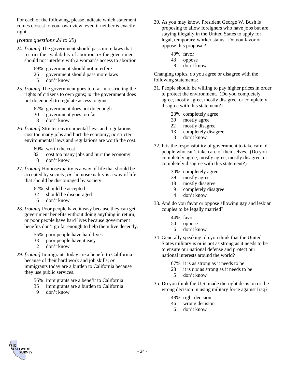For each of the following, please indicate which statement comes closest to your own view, even if neither is exactly right.

### *[rotate questions 24 to 29]*

- 24. *[rotate]* The government should pass more laws that restrict the availability of abortion; *or* the government should not interfere with a woman's access to abortion.
	- 69% government should not interfere
	- 26 government should pass more laws
		- 5 don't know
- 25. *[rotate]* The government goes too far in restricting the rights of citizens to own guns; *or* the government does not do enough to regulate access to guns.
	- 62% government does not do enough
	- 30 government goes too far
	- 8 don't know
- 26. *[rotate]* Stricter environmental laws and regulations cost too many jobs and hurt the economy; *or* stricter environmental laws and regulations are worth the cost.
	- 60% worth the cost
	- 32 cost too many jobs and hurt the economy 8 don't know
- 27. *[rotate]* Homosexuality is a way of life that should be accepted by society; *or* homosexuality is a way of life that should be discouraged by society.

62% should be accepted

- 32 should be discouraged
- 6 don't know
- 28. *[rotate]* Poor people have it easy because they can get government benefits without doing anything in return; *or* poor people have hard lives because government benefits don't go far enough to help them live decently.
	- 55% poor people have hard lives
	- 33 poor people have it easy
	- 12 don't know
- 29. *[rotate]* Immigrants today are a benefit to California because of their hard work and job skills; *or* immigrants today are a burden to California because they use public services.
	- 56% immigrants are a benefit to California
	- 35 immigrants are a burden to California
	- 9 don't know
- 30. As you may know, President George W. Bush is proposing to allow foreigners who have jobs but are staying illegally in the United States to apply for legal, temporary-worker status. Do you favor or oppose this proposal?
	- 49% favor
	- 43 oppose
	- 8 don't know

Changing topics, do you agree or disagree with the following statements:

- 31. People should be willing to pay higher prices in order to protect the environment. (Do you completely agree, mostly agree, mostly disagree, or completely disagree with this statement?)
	- 23% completely agree
	- 39 mostly agree
	- 22 mostly disagree
	- 13 completely disagree
	- 3 don't know
- 32. It is the responsibility of government to take care of people who can't take care of themselves. (Do you completely agree, mostly agree, mostly disagree, or completely disagree with this statement?)
	- 30% completely agree
	- 39 mostly agree
	- 18 mostly disagree
	- 9 completely disagree
	- 4 don't know
- 33. And do you favor or oppose allowing gay and lesbian couples to be legally married?
	- 44% favor
	- 50 oppose
	- 6 don't know
- 34. Generally speaking, do you think that the United States military is or is not as strong as it needs to be to ensure our national defense and protect our national interests around the world?
	- 67% it is as strong as it needs to be
	- 28 it is *not* as strong as it needs to be
	- 5 don't know
- 35. Do you think the U.S. made the right decision or the wrong decision in using military force against Iraq?
	- 48% right decision
	- 46 wrong decision
	- 6 don't know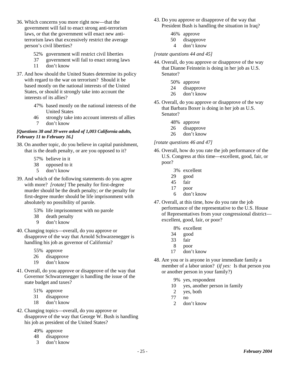- 36. Which concerns you more right now—that the government will fail to enact strong anti-terrorism laws, or that the government will enact new antiterrorism laws that excessively restrict the average person's civil liberties?
	- 52% government will restrict civil liberties
	- 37 government will fail to enact strong laws
	- 11 don't know
- 37. And how should the United States determine its policy with regard to the war on terrorism? Should it be based mostly on the national interests of the United States, or should it strongly take into account the interests of its allies?
	- 47% based mostly on the national interests of the United States
	- 46 strongly take into account interests of allies 7 don't know

#### *[Questions 38 and 39 were asked of 1,003 California adults, February 11 to February 16.]*

- 38. On another topic, do you believe in capital punishment, that is the death penalty, or are you opposed to it?
	- 57% believe in it
	- 38 opposed to it
	- 5 don't know
- 39. And which of the following statements do you agree with more? *[rotate]* The penalty for first-degree murder should be the death penalty; *or* the penalty for first-degree murder should be life imprisonment with absolutely no possibility of parole.
	- 53% life imprisonment with no parole
	- 38 death penalty
	- 9 don't know
- 40. Changing topics—overall, do you approve or disapprove of the way that Arnold Schwarzenegger is handling his job as governor of California?
	- 55% approve
	- 26 disapprove
	- 19 don't know
- 41. Overall, do you approve or disapprove of the way that Governor Schwarzenegger is handling the issue of the state budget and taxes?
	- 51% approve
	- 31 disapprove
	- 18 don't know
- 42. Changing topics—overall, do you approve or disapprove of the way that George W. Bush is handling his job as president of the United States?
	- 49% approve
	- 48 disapprove
	- 3 don't know
- 43. Do you approve or disapprove of the way that President Bush is handling the situation in Iraq?
	- 46% approve
	- 50 disapprove
	- 4 don't know

#### *[rotate questions 44 and 45]*

- 44. Overall, do you approve or disapprove of the way that Dianne Feinstein is doing in her job as U.S. Senator?
	- 50% approve
	- 24 disapprove
	- 26 don't know
- 45. Overall, do you approve or disapprove of the way that Barbara Boxer is doing in her job as U.S. Senator?
	- 48% approve
	- 26 disapprove
	- 26 don't know

#### *[rotate questions 46 and 47]*

- 46. Overall, how do you rate the job performance of the U.S. Congress at this time—excellent, good, fair, or poor?
	- 3% excellent
	- 29 good
	- 45 fair
	- 17 poor
	- 6 don't know
- 47. Overall, at this time, how do you rate the job performance of the representative to the U.S. House of Representatives from your congressional district excellent, good, fair, or poor?
	- 8% excellent
	- 34 good
	- 33 fair
	- 8 poor
	- 17 don't know
- 48. Are you or is anyone in your immediate family a member of a labor union? (*if yes:* Is that person you or another person in your family?)
	- 9% yes, respondent
	- 10 yes, another person in family
	- 2 yes, both
	- 77 no
	- 2 don't know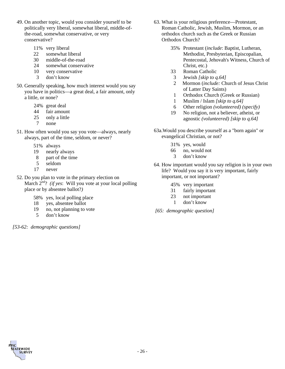- 49. On another topic, would you consider yourself to be politically very liberal, somewhat liberal, middle-ofthe-road, somewhat conservative, or very conservative?
	- 11% very liberal
	- 22 somewhat liberal
	- 30 middle-of-the-road
	- 24 somewhat conservative
	- 10 very conservative
	- 3 don't know
- 50. Generally speaking, how much interest would you say you have in politics—a great deal, a fair amount, only a little, or none?
	- 24% great deal
	- 44 fair amount
	- 25 only a little  $\frac{7}{7}$  none
	- none
- 51. How often would you say you vote—always, nearly always, part of the time, seldom, or never?
	- 51% always
	- 19 nearly always
	- 8 part of the time
	- 5 seldom
	- 17 never
- 52. Do you plan to vote in the primary election on March  $2^{nd}$ ? *(if yes*: Will you vote at your local polling place or by absentee ballot?*)* 
	- 58% yes, local polling place
	- 18 yes, absentee ballot
	- 19 no, not planning to vote
	- 5 don't know

*[53-62: demographic questions]*

- 63. What is your religious preference—Protestant, Roman Catholic, Jewish, Muslim, Mormon, or an orthodox church such as the Greek or Russian Orthodox Church?
	- 35% Protestant (*include*: Baptist, Lutheran, Methodist, Presbyterian, Episcopalian, Pentecostal, Jehovah's Witness, Church of Christ, etc.)
	- 33 Roman Catholic
	- 3 Jewish *[skip to q.64]*
	- 2 Mormon (*include:* Church of Jesus Christ of Latter Day Saints)
	- 1 Orthodox Church (Greek or Russian)
	- 1 Muslim / Islam *[skip to q.64]*
	- 6 Other religion *(volunteered) (specify)*
	- 19 No religion, not a believer, atheist, or agnostic *(volunteered) [skip to q.64]*
- 63a.Would you describe yourself as a "born again" or evangelical Christian, or not?
	- 31% yes, would
	- 66 no, would not
		- 3 don't know
- 64. How important would you say religion is in your own life? Would you say it is very important, fairly important, or not important?
	- 45% very important
	- 31 fairly important
	- 23 not important
	- 1 don't know
- *[65: demographic question]*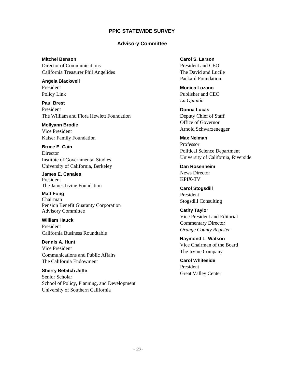### **PPIC STATEWIDE SURVEY**

#### **Advisory Committee**

**Mitchel Benson**  Director of Communications California Treasurer Phil Angelides

**Angela Blackwell**  President Policy Link

**Paul Brest**  President The William and Flora Hewlett Foundation

**Mollyann Brodie**  Vice President Kaiser Family Foundation

**Bruce E. Cain Director** Institute of Governmental Studies University of California, Berkeley

**James E. Canales**  President The James Irvine Foundation

**Matt Fong**  Chairman Pension Benefit Guaranty Corporation Advisory Committee

**William Hauck**  President California Business Roundtable

**Dennis A. Hunt**  Vice President Communications and Public Affairs The California Endowment

**Sherry Bebitch Jeffe**  Senior Scholar School of Policy, Planning, and Development University of Southern California

**Carol S. Larson**  President and CEO The David and Lucile Packard Foundation

**Monica Lozano**  Publisher and CEO *La Opinión*

**Donna Lucas** Deputy Chief of Staff Office of Governor Arnold Schwarzenegger

**Max Neiman** Professor Political Science Department University of California, Riverside

**Dan Rosenheim**  News Director KPIX-TV

**Carol Stogsdill**  President Stogsdill Consulting

**Cathy Taylor**  Vice President and Editorial Commentary Director *Orange County Register* 

**Raymond L. Watson**  Vice Chairman of the Board The Irvine Company

**Carol Whiteside**  President Great Valley Center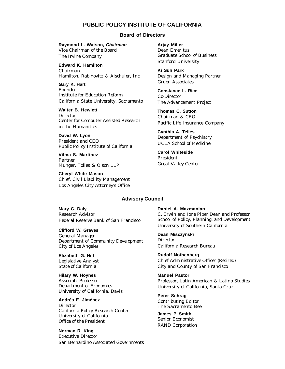#### **PUBLIC POLICY INSTITUTE OF CALIFORNIA**

#### **Board of Directors**

**Raymond L. Watson,** *Chairman* Vice Chairman of the Board The Irvine Company

**Edward K. Hamilton** Chairman Hamilton, Rabinovitz & Alschuler, Inc.

**Gary K. Hart** Founder Institute for Education Reform California State University, Sacramento

**Walter B. Hewlett Director** Center for Computer Assisted Research in the Humanities

**David W. Lyon** President and CEO Public Policy Institute of California

**Vilma S. Martinez** Partner Munger, Tolles & Olson LLP

**Cheryl White Mason** Chief, Civil Liability Management Los Angeles City Attorney's Office

**Arjay Miller** Dean Emeritus Graduate School of Business Stanford University

**Ki Suh Park** Design and Managing Partner Gruen Associates

**Constance L. Rice** Co-Director The Advancement Project

**Thomas C. Sutton** Chairman & CEO Pacific Life Insurance Company

**Cynthia A. Telles** Department of Psychiatry UCLA School of Medicine

**Carol Whiteside** President Great Valley Center

#### **Advisory Council**

**Mary C. Daly** Research Advisor Federal Reserve Bank of San Francisco

**Clifford W. Graves** General Manager Department of Community Development City of Los Angeles

**Elizabeth G. Hill** Legislative Analyst State of California

**Hilary W. Hoynes** Associate Professor Department of Economics University of California, Davis

**Andrés E. Jiménez Director** California Policy Research Center University of California Office of the President

**Norman R. King** Executive Director San Bernardino Associated Governments **Daniel A. Mazmanian** C. Erwin and Ione Piper Dean and Professor School of Policy, Planning, and Development University of Southern California

**Dean Misczynski** Director California Research Bureau

**Rudolf Nothenberg** Chief Administrative Officer (Retired) City and County of San Francisco

**Manuel Pastor** Professor, Latin American & Latino Studies University of California, Santa Cruz

**Peter Schrag** Contributing Editor *The Sacramento Bee*

**James P. Smith** Senior Economist RAND Corporation